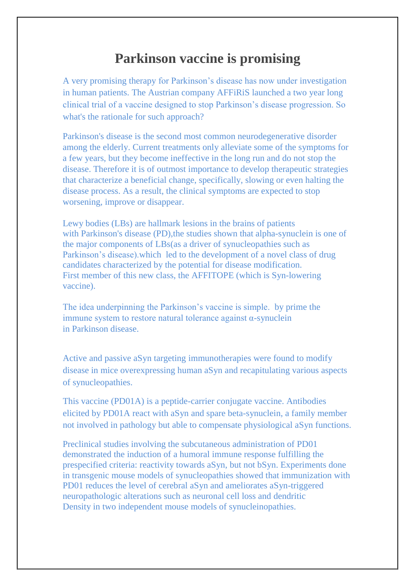## **Parkinson vaccine is promising**

A very promising therapy for Parkinson's disease has now under investigation in human patients. The Austrian company AFFiRiS launched a two year long clinical trial of a vaccine designed to stop Parkinson's disease progression. So what's the rationale for such approach?

Parkinson's disease is the second most common neurodegenerative disorder among the elderly. Current treatments only alleviate some of the symptoms for a few years, but they become ineffective in the long run and do not stop the disease. Therefore it is of outmost importance to develop therapeutic strategies that characterize a beneficial change, specifically, slowing or even halting the disease process. As a result, the clinical symptoms are expected to stop worsening, improve or disappear.

Lewy bodies (LBs) are hallmark lesions in the brains of patients with Parkinson's disease (PD), the studies shown that alpha-synuclein is one of the major components of LBs(as a driver of synucleopathies such as Parkinson's disease).which led to the development of a novel class of drug candidates characterized by the potential for disease modification. First member of this new class, the AFFITOPE (which is Syn-lowering vaccine).

The idea underpinning the Parkinson's vaccine is simple. by prime the immune system to restore natural tolerance against α-synuclein in Parkinson disease.

Active and passive aSyn targeting immunotherapies were found to modify disease in mice overexpressing human aSyn and recapitulating various aspects of synucleopathies.

This vaccine (PD01A) is a peptide-carrier conjugate vaccine. Antibodies elicited by PD01A react with aSyn and spare beta-synuclein, a family member not involved in pathology but able to compensate physiological aSyn functions.

Preclinical studies involving the subcutaneous administration of PD01 demonstrated the induction of a humoral immune response fulfilling the prespecified criteria: reactivity towards aSyn, but not bSyn. Experiments done in transgenic mouse models of synucleopathies showed that immunization with PD01 reduces the level of cerebral aSyn and ameliorates aSyn-triggered neuropathologic alterations such as neuronal cell loss and dendritic Density in two independent mouse models of synucleinopathies.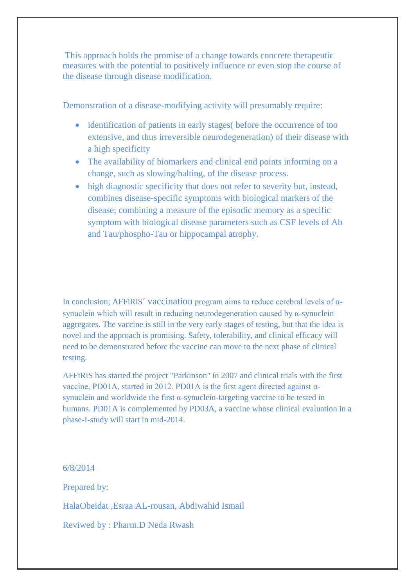This approach holds the promise of a change towards concrete therapeutic measures with the potential to positively influence or even stop the course of the disease through disease modification*.*

Demonstration of a disease-modifying activity will presumably require:

- identification of patients in early stages before the occurrence of too extensive, and thus irreversible neurodegeneration) of their disease with a high specificity
- The availability of biomarkers and clinical end points informing on a change, such as slowing/halting, of the disease process.
- high diagnostic specificity that does not refer to severity but, instead, combines disease-specific symptoms with biological markers of the disease; combining a measure of the episodic memory as a specific symptom with biological disease parameters such as CSF levels of Ab and Tau/phospho-Tau or hippocampal atrophy.

In conclusion; AFFiRiS´ vaccination program aims to reduce cerebral levels of αsynuclein which will result in reducing neurodegeneration caused by α-synuclein aggregates. The vaccine is still in the very early stages of testing, but that the idea is novel and the approach is promising. Safety, tolerability, and clinical efficacy will need to be demonstrated before the vaccine can move to the next phase of clinical testing.

AFFiRiS has started the project "Parkinson" in 2007 and clinical trials with the first vaccine, PD01A, started in 2012. PD01A is the first agent directed against αsynuclein and worldwide the first α-synuclein-targeting vaccine to be tested in humans. PD01A is complemented by PD03A, a vaccine whose clinical evaluation in a phase-I-study will start in mid-2014.

6/8/2014

Prepared by:

HalaObeidat ,Esraa AL-rousan, Abdiwahid Ismail

Reviwed by : Pharm.D Neda Rwash